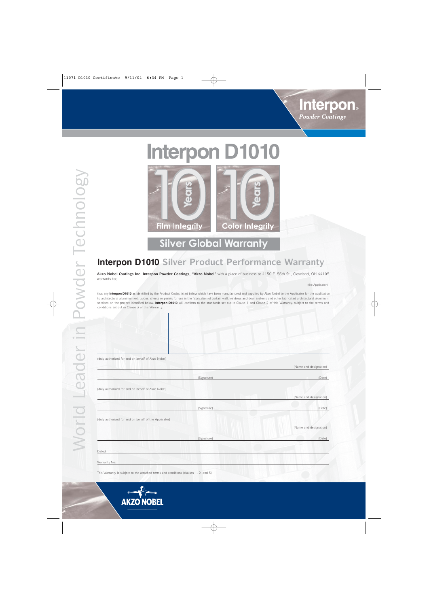

# **Interpon D1010**



**Silver Global Warranty** 

## **Interpon D1010 Silver Product Performance Warranty**

**Akzo Nobel Coatings Inc. Interpon Powwder Coatings, "Akzo Nobel"** with a place of business at 4150 E. 56th St., Cleveland, OH 44105 warrants to;

(the Applicator)

sections on the project identified below. **Interpon D1010** will conform to the standards set out in Clause 1 and Clause 2 of this Warranty, subject to the terms and conditions set out in Clause 3 of this Warranty. to architectural aluminium extrusions, sheets or panels for use in the fabrication of curtain wall, windows and door systems and other fabricated architectural aluminum that any **Interpon D1010** as identified by the Product Codes listed below which have been manufactured and supplied by Akzo Nobel to the Applicator for the application

(duly authorized for and on behalf of Akzo Nobel)

(duly authorized for and on behalf of Akzo Nobel)

(Name and designation)

(Name and designation)

(Signature) (Date)

(Signature) (Date)

(Name and designation)

(Signature) (Date)

(duly authorized for and on behalf of the Applicator)

This Warranty is subject to the attached terms and conditions (clauses 1, 2, and 3).

Dated: Warranty No: